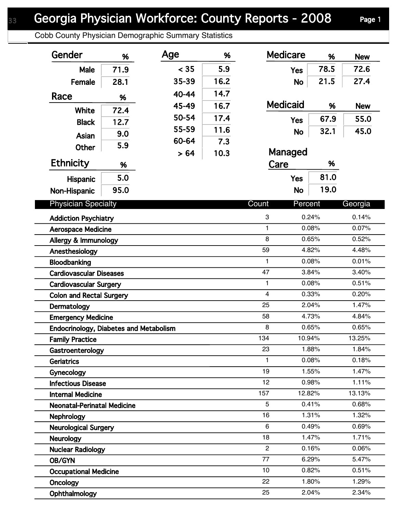## Georgia Physician Workforce: County Reports - 2008 Page 1

Cobb County Physician Demographic Summary Statistics

| Gender                                 | %    | Age   | %    | <b>Medicare</b>           |            | %     | <b>New</b> |
|----------------------------------------|------|-------|------|---------------------------|------------|-------|------------|
| Male                                   | 71.9 | < 35  | 5.9  |                           | <b>Yes</b> | 78.5  | 72.6       |
| Female                                 | 28.1 | 35-39 | 16.2 |                           | <b>No</b>  | 21.5  | 27.4       |
| Race                                   |      | 40-44 | 14.7 |                           |            |       |            |
|                                        | %    | 45-49 | 16.7 | <b>Medicaid</b>           |            | %     | <b>New</b> |
| White                                  | 72.4 | 50-54 | 17.4 |                           |            | 67.9  | 55.0       |
| <b>Black</b>                           | 12.7 | 55-59 | 11.6 |                           | <b>Yes</b> |       |            |
| Asian                                  | 9.0  | 60-64 | 7.3  |                           | <b>No</b>  | 32.1  | 45.0       |
| <b>Other</b>                           | 5.9  |       | 10.3 | Managed                   |            |       |            |
| <b>Ethnicity</b>                       | %    | > 64  |      | Care                      |            | %     |            |
|                                        | 5.0  |       |      |                           | <b>Yes</b> | 81.0  |            |
| Hispanic                               |      |       |      |                           |            |       |            |
| Non-Hispanic                           | 95.0 |       |      |                           | <b>No</b>  | 19.0  |            |
| <b>Physician Specialty</b>             |      |       |      | Count                     | Percent    |       | Georgia    |
| <b>Addiction Psychiatry</b>            |      |       |      | $\ensuremath{\mathsf{3}}$ |            | 0.24% | 0.14%      |
| <b>Aerospace Medicine</b>              |      |       |      | 1                         |            | 0.08% | 0.07%      |
| Allergy & Immunology                   |      |       |      | 8                         |            | 0.65% | 0.52%      |
| Anesthesiology                         |      |       |      | 59                        |            | 4.82% | 4.48%      |
| Bloodbanking                           |      |       |      | $\mathbf{1}$              |            | 0.08% | 0.01%      |
| <b>Cardiovascular Diseases</b>         |      |       |      | 47                        |            | 3.84% | 3.40%      |
| <b>Cardiovascular Surgery</b>          |      |       |      | 1                         |            | 0.08% | 0.51%      |
| <b>Colon and Rectal Surgery</b>        |      |       |      | $\overline{4}$            |            | 0.33% | 0.20%      |
| Dermatology                            |      |       |      | 25                        |            | 2.04% | 1.47%      |
| <b>Emergency Medicine</b>              |      |       |      | 58                        |            | 4.73% | 4.84%      |
| Endocrinology, Diabetes and Metabolism |      |       |      | 8                         |            | 0.65% | 0.65%      |
| <b>Family Practice</b>                 |      |       |      | 134                       | 10.94%     |       | 13.25%     |
| Gastroenterology                       |      |       |      | 23                        |            | 1.88% | 1.84%      |
| <b>Geriatrics</b>                      |      |       |      | 1.                        |            | 0.08% | 0.18%      |
| Gynecology                             |      |       |      | 19                        |            | 1.55% | 1.47%      |
| <b>Infectious Disease</b>              |      |       |      | 12                        |            | 0.98% | 1.11%      |
| <b>Internal Medicine</b>               |      |       |      | 157                       | 12.82%     |       | 13.13%     |
| <b>Neonatal-Perinatal Medicine</b>     |      |       |      | 5                         |            | 0.41% | 0.68%      |
| <b>Nephrology</b>                      |      |       |      | 16                        |            | 1.31% | 1.32%      |
| <b>Neurological Surgery</b>            |      |       |      | 6                         |            | 0.49% | 0.69%      |
| <b>Neurology</b>                       |      |       |      | 18                        |            | 1.47% | 1.71%      |
| <b>Nuclear Radiology</b>               |      |       |      | 2                         |            | 0.16% | 0.06%      |
| <b>OB/GYN</b>                          |      |       |      | 77                        |            | 6.29% | 5.47%      |
| <b>Occupational Medicine</b>           |      |       |      | 10                        |            | 0.82% | 0.51%      |
| Oncology                               |      |       |      | 22                        |            | 1.80% | 1.29%      |
| Ophthalmology                          |      |       |      | 25                        |            | 2.04% | 2.34%      |